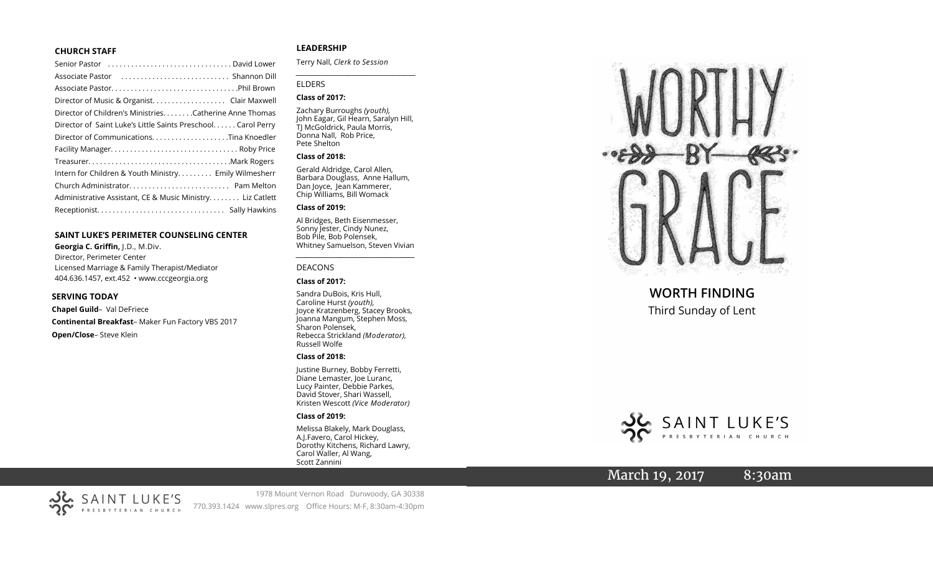### **CHURCH STAFF**

| Senior Pastor (all contains and contained a senior Pastor contains) |
|---------------------------------------------------------------------|
|                                                                     |
|                                                                     |
|                                                                     |
| Director of Children's MinistriesCatherine Anne Thomas              |
| Director of Saint Luke's Little Saints Preschool. Carol Perry       |
|                                                                     |
|                                                                     |
|                                                                     |
| Intern for Children & Youth Ministry Emily Wilmesherr               |
|                                                                     |
| Administrative Assistant, CE & Music Ministry Liz Catlett           |
|                                                                     |
|                                                                     |

### **SAINT LUKE 'S PERIMETER COUNSELING CENTER**

**Georgia C. Griffin,** J.D., M.Div. Director, Perimeter Center Licensed Marriage & Family Therapist/Mediator 404.636.1457, ext.452 • www.cccgeorgia.org

#### **SERVING TODAY**

**Chapel Guild** – Val DeFriece **Continental Breakfast** – Maker Fun Factory VBS 2017 **Open/Close** – Steve Klein

# **LEADERSHIP**

Terry Nall, *Clerk to Session*

### ELDERS

### **Class of 2017:**

Zachary Burroughs *(youth),*  John Eagar, Gil Hearn, Saralyn Hill, TJ McGoldrick, Paula Morris, Donna Nall, Rob Price, Pete Shelton

*\_\_\_\_\_\_\_\_\_\_\_\_\_\_\_\_\_\_\_\_\_\_\_\_\_\_\_\_\_\_\_\_\_\_\_\_\_\_\_\_\_*

#### **Class of 2018:**

Gerald Aldridge, Carol Allen, Barbara Douglass, Anne Hallum, Dan Joyce, Jean Kammerer, Chip Williams, Bill Womack

# **Class of 2019:**

Al Bridges, Beth Eisenmesser, Sonny Jester, Cindy Nunez, Bob Pile, Bob Polensek, Whitney Samuelson, Steven Vivian

*\_\_\_\_\_\_\_\_\_\_\_\_\_\_\_\_\_\_\_\_\_\_\_\_\_\_\_\_\_\_\_\_\_\_\_\_\_*

#### DEACONS

### **Class of 2017:**

Sandra DuBois, Kris Hull, Caroline Hurst *(youth),* Joyce Kratzenberg, Stacey Brooks, Joanna Mangum, Stephen Moss, Sharon Polensek, Rebecca Strickland *(Moderator),*  Russell Wolfe

#### **Class of 2018:**

Justine Burney, Bobby Ferretti, Diane Lemaster, Joe Luranc, Lucy Painter, Debbie Parkes, David Stover, Shari Wassell, Kristen Wescott *(Vice Moderator)*

## **Class of 2019:**

Melissa Blakely, Mark Douglass, A.J.Favero, Carol Hickey, Dorothy Kitchens, Richard Lawry, Carol Waller, Al Wang, Scott Zannini



# **WORTH FINDING** Third Sunday of Lent



# March 19, 2017 8:30am



1978 Mount Vernon Road Dunwoody, GA 30338 770.393.1424 www.slpres.org Office Hours: M -F, 8:30am -4:30pm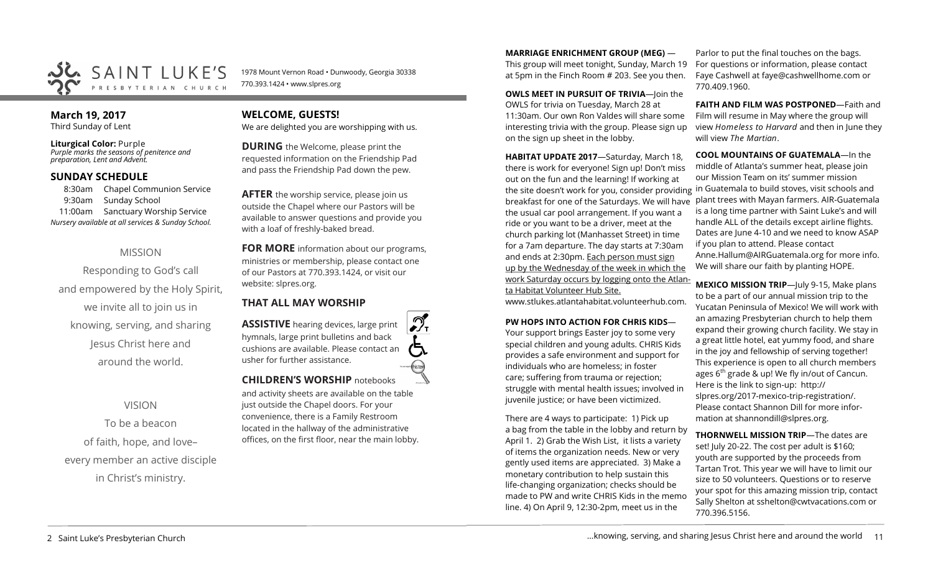

1978 Mount Vernon Road • Dunwoody, Georgia 30338 770.393.1424 • www.slpres.org

# **March 19, 2017**

Third Sunday of Lent

**Liturgical Color:** Purple *Purple marks the seasons of penitence and preparation, Lent and Advent.*

# **SUNDAY SCHEDULE**

8:30am Chapel Communion Service 9:30am Sunday School 11:00am Sanctuary Worship Service *Nursery available at all services & Sunday School.* 

# MISSION

Responding to God's call and empowered by the Holy Spirit, we invite all to join us in knowing, serving, and sharing Jesus Christ here and around the world.

VISION

To be a beacon of faith, hope, and love– every member an active disciple in Christ's ministry.

# **WELCOME, GUESTS!**

We are delighted you are worshipping with us.

**DURING** the Welcome, please print the requested information on the Friendship Pad and pass the Friendship Pad down the pew.

**AFTER** the worship service, please join us outside the Chapel where our Pastors will be available to answer questions and provide you with a loaf of freshly-baked bread.

**FOR MORE** information about our programs, ministries or membership, please contact one of our Pastors at 770.393.1424, or visit our website: slpres.org.

# **THAT ALL MAY WORSHIP**

**ASSISTIVE** hearing devices, large print hymnals, large print bulletins and back cushions are available. Please contact an usher for further assistance. **CHILDREN'S WORSHIP** notebooks

and activity sheets are available on the table just outside the Chapel doors. For your convenience, there is a Family Restroom located in the hallway of the administrative offices, on the first floor, near the main lobby.

**MARRIAGE ENRICHMENT GROUP (MEG)** — This group will meet tonight, Sunday, March 19 at 5pm in the Finch Room # 203. See you then.

**OWLS MEET IN PURSUIT OF TRIVIA**—loin the OWLS for trivia on Tuesday, March 28 at 11:30am. Our own Ron Valdes will share some interesting trivia with the group. Please sign up on the sign up sheet in the lobby.

**HABITAT UPDATE 2017**—Saturday, March 18, there is work for everyone! Sign up! Don't miss out on the fun and the learning! If working at the site doesn't work for you, consider providing in Guatemala to build stoves, visit schools and breakfast for one of the Saturdays. We will have the usual car pool arrangement. If you want a ride or you want to be a driver, meet at the church parking lot (Manhasset Street) in time for a 7am departure. The day starts at 7:30am and ends at 2:30pm. Each person must sign up by the Wednesday of the week in which the work Saturday occurs by logging onto the Atlanta Habitat Volunteer Hub Site.

www.stlukes.atlantahabitat.volunteerhub.com.

# **PW HOPS INTO ACTION FOR CHRIS KIDS**—

Your support brings Easter joy to some very special children and young adults. CHRIS Kids provides a safe environment and support for individuals who are homeless; in foster care; suffering from trauma or rejection; struggle with mental health issues; involved in juvenile justice; or have been victimized.

There are 4 ways to participate: 1) Pick up a bag from the table in the lobby and return by April 1. 2) Grab the Wish List, it lists a variety of items the organization needs. New or very gently used items are appreciated. 3) Make a monetary contribution to help sustain this life-changing organization; checks should be made to PW and write CHRIS Kids in the memo line. 4) On April 9, 12:30-2pm, meet us in the

Parlor to put the final touches on the bags. For questions or information, please contact Faye Cashwell at [faye@cashwellhome.com](mailto:faye@cashwellhome.com) or 770.409.1960.

**FAITH AND FILM WAS POSTPONED**—Faith and Film will resume in May where the group will view *Homeless to Harvard* and then in June they will view *The Martian*.

**COOL MOUNTAINS OF GUATEMALA**—In the middle of Atlanta's summer heat, please join our Mission Team on its' summer mission plant trees with Mayan farmers. AIR-Guatemala is a long time partner with Saint Luke's and will handle ALL of the details except airline flights. Dates are June 4-10 and we need to know ASAP if you plan to attend. Please contact Anne.Hallum@AIRGuatemala.org for more info. We will share our faith by planting HOPE.

**MEXICO MISSION TRIP**—July 9-15, Make plans to be a part of our annual mission trip to the Yucatan Peninsula of Mexico! We will work with an amazing Presbyterian church to help them expand their growing church facility. We stay in a great little hotel, eat yummy food, and share in the joy and fellowship of serving together! This experience is open to all church members ages  $6<sup>th</sup>$  grade & up! We fly in/out of Cancun. Here is the link to sign-up: [http://](http://slpres.org/2017-mexico-trip-registration/) [slpres.org/2017](http://slpres.org/2017-mexico-trip-registration/)-mexico-trip-registration/. Please contact Shannon Dill for more information at shannondill@slpres.org.

**THORNWELL MISSION TRIP**—The dates are set! July 20-22. The cost per adult is \$160; youth are supported by the proceeds from Tartan Trot. This year we will have to limit our size to 50 volunteers. Questions or to reserve your spot for this amazing mission trip, contact Sally Shelton at sshelton@cwtvacations.com or 770.396.5156.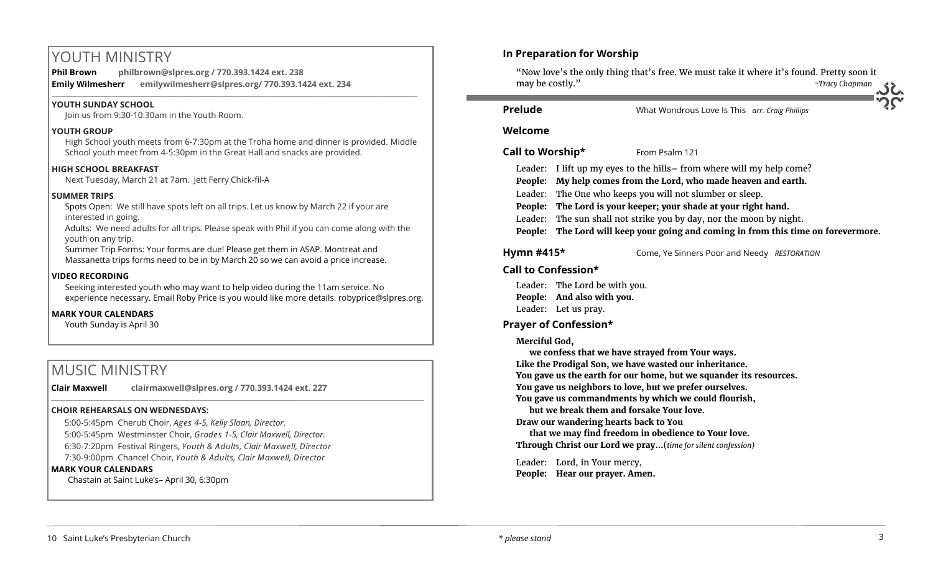# YOUTH MINISTRY

**Phil Brown philbrown@slpres.org / 770.393.1424 ext. 238 Emily Wilmesherr emilywilmesherr@slpres.org/ 770.393.1424 ext. 234**   $\_$  ,  $\_$  ,  $\_$  ,  $\_$  ,  $\_$  ,  $\_$  ,  $\_$  ,  $\_$  ,  $\_$  ,  $\_$  ,  $\_$  ,  $\_$  ,  $\_$  ,  $\_$  ,  $\_$  ,  $\_$  ,  $\_$  ,  $\_$  ,  $\_$  ,  $\_$ 

# **YOUTH SUNDAY SCHOOL**

Join us from 9:30-10:30am in the Youth Room.

# **YOUTH GROUP**

High School youth meets from 6-7:30pm at the Troha home and dinner is provided. Middle School youth meet from 4-5:30pm in the Great Hall and snacks are provided.

# **HIGH SCHOOL BREAKFAST**

Next Tuesday, March 21 at 7am. Jett Ferry Chick-fil-A

# **SUMMER TRIPS**

Spots Open: We still have spots left on all trips. Let us know by March 22 if your are interested in going.

Adults: We need adults for all trips. Please speak with Phil if you can come along with the youth on any trip.

Summer Trip Forms: Your forms are due! Please get them in ASAP. Montreat and Massanetta trips forms need to be in by March 20 so we can avoid a price increase.

# **VIDEO RECORDING**

Seeking interested youth who may want to help video during the 11am service. No experience necessary. Email Roby Price is you would like more details. robyprice@slpres.org.

# **MARK YOUR CALENDARS**

Youth Sunday is April 30

# MUSIC MINISTRY

**Clair Maxwell clairmaxwell@slpres.org / 770.393.1424 ext. 227**  \_\_\_\_\_\_\_\_\_\_\_\_\_\_\_\_\_\_\_\_\_\_\_\_\_\_\_\_\_\_\_\_\_\_\_\_\_\_\_\_\_\_\_\_\_\_\_\_\_\_\_\_\_\_\_\_\_\_\_\_\_\_\_\_\_\_\_\_\_\_\_\_\_\_\_\_\_\_\_\_\_\_\_\_\_\_\_\_\_\_\_\_\_\_\_\_\_\_\_\_

# **CHOIR REHEARSALS ON WEDNESDAYS:**

5:00-5:45pm Cherub Choir, *Ages 4-5, Kelly Sloan, Director.*  5:00-5:45pm Westminster Choir, *Grades 1-5, Clair Maxwell, Director.*  6:30-7:20pm Festival Ringers, *Youth & Adults, Clair Maxwell, Director* 7:30-9:00pm Chancel Choir, *Youth & Adults, Clair Maxwell, Director* 

# **MARK YOUR CALENDARS**

Chastain at Saint Luke's– April 30, 6:30pm

# **In Preparation for Worship**

"Now love's the only thing that's free. We must take it where it's found. Pretty soon it may be costly." *~Tracy Chapman*

**Prelude** What Wondrous Love Is This *arr. Craig Phillips*

# **Welcome**

# **Call to Worship\*** From Psalm 121

Leader: I lift up my eyes to the hills– from where will my help come?

- **People: My help comes from the Lord, who made heaven and earth.**
- Leader: The One who keeps you will not slumber or sleep.
- **People: The Lord is your keeper; your shade at your right hand.**
- Leader: The sun shall not strike you by day, nor the moon by night.

**People: The Lord will keep your going and coming in from this time on forevermore.**

**Hymn #415\*** Come, Ye Sinners Poor and Needy *RESTORATION*

# **Call to Confession\***

Leader: The Lord be with you. **People: And also with you.** Leader: Let us pray.

# **Prayer of Confession\***

# **Merciful God,**

**we confess that we have strayed from Your ways. Like the Prodigal Son, we have wasted our inheritance. You gave us the earth for our home, but we squander its resources. You gave us neighbors to love, but we prefer ourselves. You gave us commandments by which we could flourish, but we break them and forsake Your love. Draw our wandering hearts back to You that we may find freedom in obedience to Your love. Through Christ our Lord we pray…**(*time for silent confession)* Leader: Lord, in Your mercy,

**People: Hear our prayer. Amen.**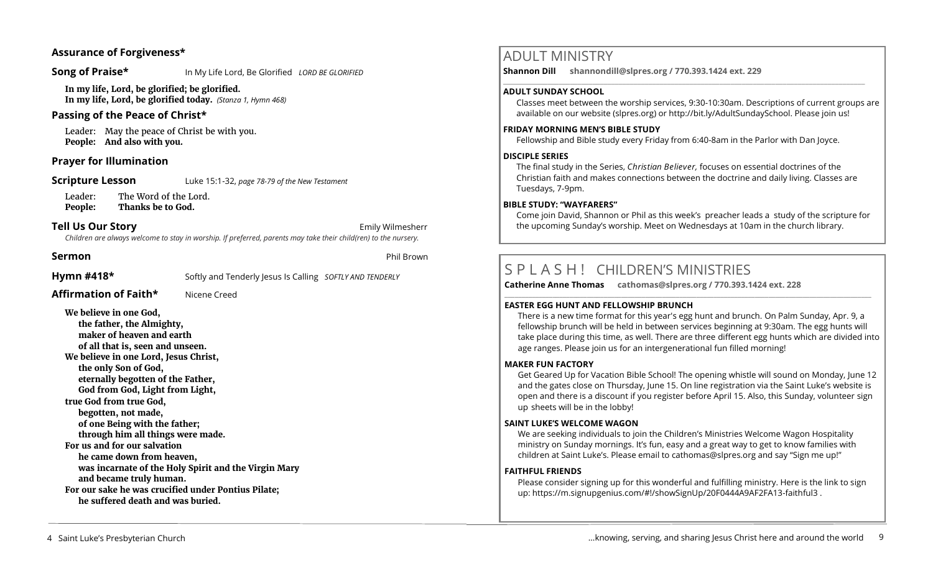# **Assurance of Forgiveness\***

**Song of Praise\*** In My Life Lord, Be Glorified *LORD BE GLORIFIED* 

**In my life, Lord, be glorified; be glorified. In my life, Lord, be glorified today.** *(Stanza 1, Hymn 468)*

# **Passing of the Peace of Christ\***

Leader: May the peace of Christ be with you. **People: And also with you.** 

# **Prayer for Illumination**

**Scripture Lesson** Luke 15:1-32, *page 78-79 of the New Testament* 

Leader: The Word of the Lord. **People: Thanks be to God.**

# **Tell Us Our Story Emily Wilmesherr Emily Wilmesherr**

*Children are always welcome to stay in worship. If preferred, parents may take their child(ren) to the nursery.*

**Sermon** Phil Brown

**Hymn #418\*** Softly and Tenderly Jesus Is Calling *SOFTLY AND TENDERLY*

**Affirmation of Faith\*** Nicene Creed

**We believe in one God, the father, the Almighty, maker of heaven and earth of all that is, seen and unseen. We believe in one Lord, Jesus Christ, the only Son of God, eternally begotten of the Father, God from God, Light from Light, true God from true God, begotten, not made, of one Being with the father; through him all things were made. For us and for our salvation he came down from heaven, was incarnate of the Holy Spirit and the Virgin Mary and became truly human. For our sake he was crucified under Pontius Pilate; he suffered death and was buried.**

# ADULT MINISTRY

**Shannon Dill shannondill@slpres.org / 770.393.1424 ext. 229**   $\_$  ,  $\_$  ,  $\_$  ,  $\_$  ,  $\_$  ,  $\_$  ,  $\_$  ,  $\_$  ,  $\_$  ,  $\_$  ,  $\_$  ,  $\_$  ,  $\_$  ,  $\_$  ,  $\_$  ,  $\_$  ,  $\_$  ,  $\_$  ,  $\_$  ,  $\_$ 

# **ADULT SUNDAY SCHOOL**

Classes meet between the worship services, 9:30-10:30am. Descriptions of current groups are available on our website (slpres.org) or http://bit.ly/AdultSundaySchool. Please join us!

# **FRIDAY MORNING MEN'S BIBLE STUDY**

Fellowship and Bible study every Friday from 6:40-8am in the Parlor with Dan Joyce.

# **DISCIPLE SERIES**

The final study in the Series, *Christian Believer,* focuses on essential doctrines of the Christian faith and makes connections between the doctrine and daily living. Classes are Tuesdays, 7-9pm.

# **BIBLE STUDY: "WAYFARERS"**

Come join David, Shannon or Phil as this week's preacher leads a study of the scripture for the upcoming Sunday's worship. Meet on Wednesdays at 10am in the church library.

# S P L A S H ! CHILDREN'S MINISTRIES

**Catherine Anne Thomas cathomas@slpres.org / 770.393.1424 ext. 228 \_\_\_\_\_\_\_\_\_\_\_\_\_\_\_\_\_\_\_\_\_\_\_\_\_\_\_\_\_\_\_\_\_\_\_\_\_\_\_\_\_\_\_\_\_\_\_\_\_\_\_\_\_\_\_\_\_\_\_\_\_\_\_\_\_\_\_\_\_\_\_\_\_\_\_\_\_\_\_\_\_\_\_\_\_\_\_\_\_\_\_\_\_\_\_\_\_\_\_\_\_\_\_\_\_\_\_** 

# **EASTER EGG HUNT AND FELLOWSHIP BRUNCH**

There is a new time format for this year's egg hunt and brunch. On Palm Sunday, Apr. 9, a fellowship brunch will be held in between services beginning at 9:30am. The egg hunts will take place during this time, as well. There are three different egg hunts which are divided into age ranges. Please join us for an intergenerational fun filled morning!

# **MAKER FUN FACTORY**

Get Geared Up for Vacation Bible School! The opening whistle will sound on Monday, June 12 and the gates close on Thursday, June 15. On line registration via the Saint Luke's website is open and there is a discount if you register before April 15. Also, this Sunday, volunteer sign up sheets will be in the lobby!

# **SAINT LUKE'S WELCOME WAGON**

We are seeking individuals to join the Children's Ministries Welcome Wagon Hospitality ministry on Sunday mornings. It's fun, easy and a great way to get to know families with children at Saint Luke's. Please email to cathomas@slpres.org and say "Sign me up!"

# **FAITHFUL FRIENDS**

Please consider signing up for this wonderful and fulfilling ministry. Here is the link to sign up: [https://m.signupgenius.com/#!/showSignUp/20F0444A9AF2FA13](https://m.signupgenius.com/#!/showSignUp/20F0444A9AF2FA13-faithful3)-faithful3 .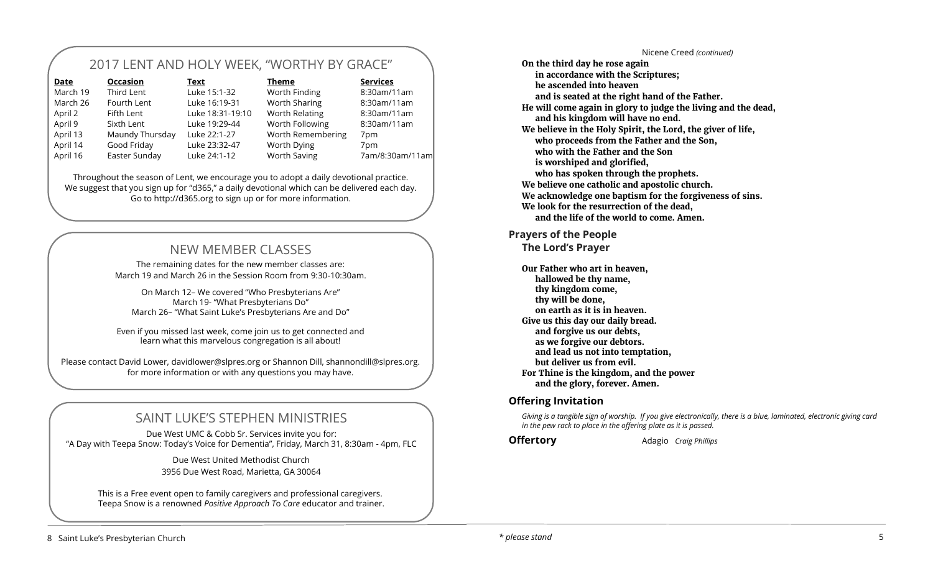# 2017 LENT AND HOLY WEEK, "WORTHY BY GRACE"

| Date     | <b>Occasion</b> | Text             | <b>Theme</b>        | <b>Services</b> |
|----------|-----------------|------------------|---------------------|-----------------|
| March 19 | Third Lent      | Luke 15:1-32     | Worth Finding       | 8:30am/11am     |
| March 26 | Fourth Lent     | Luke 16:19-31    | Worth Sharing       | 8:30am/11am     |
| April 2  | Fifth Lent      | Luke 18:31-19:10 | Worth Relating      | 8:30am/11am     |
| April 9  | Sixth Lent      | Luke 19:29-44    | Worth Following     | 8:30am/11am     |
| April 13 | Maundy Thursday | Luke 22:1-27     | Worth Remembering   | 7pm             |
| April 14 | Good Friday     | Luke 23:32-47    | Worth Dying         | 7 <sub>pm</sub> |
| April 16 | Easter Sunday   | Luke 24:1-12     | <b>Worth Saving</b> | 7am/8:30am/11am |

Throughout the season of Lent, we encourage you to adopt a daily devotional practice. We suggest that you sign up for "d365," a daily devotional which can be delivered each day. Go to<http://d365.org> to sign up or for more information.

# NEW MEMBER CLASSES

The remaining dates for the new member classes are: March 19 and March 26 in the Session Room from 9:30-10:30am.

On March 12– We covered "Who Presbyterians Are" March 19- "What Presbyterians Do" March 26– "What Saint Luke's Presbyterians Are and Do"

Even if you missed last week, come join us to get connected and learn what this marvelous congregation is all about!

Please contact David Lower, davidlower@slpres.org or Shannon Dill, shannondill@slpres.org. for more information or with any questions you may have.

# SAINT LUKE'S STEPHEN MINISTRIES

Due West UMC & Cobb Sr. Services invite you for: "A Day with Teepa Snow: Today's Voice for Dementia", Friday, March 31, 8:30am - 4pm, FLC

> Due West United Methodist Church 3956 Due West Road, Marietta, GA 30064

This is a Free event open to family caregivers and professional caregivers. Teepa Snow is a renowned *Positive Approach T*o *Care* educator and trainer.

Nicene Creed *(continued)* **On the third day he rose again in accordance with the Scriptures; he ascended into heaven and is seated at the right hand of the Father. He will come again in glory to judge the living and the dead, and his kingdom will have no end. We believe in the Holy Spirit, the Lord, the giver of life, who proceeds from the Father and the Son, who with the Father and the Son is worshiped and glorified, who has spoken through the prophets. We believe one catholic and apostolic church. We acknowledge one baptism for the forgiveness of sins. We look for the resurrection of the dead, and the life of the world to come. Amen.**

# **Prayers of the People The Lord's Prayer**

**Our Father who art in heaven, hallowed be thy name, thy kingdom come, thy will be done, on earth as it is in heaven. Give us this day our daily bread. and forgive us our debts, as we forgive our debtors. and lead us not into temptation, but deliver us from evil. For Thine is the kingdom, and the power and the glory, forever. Amen.**

# **Offering Invitation**

*Giving is a tangible sign of worship. If you give electronically, there is a blue, laminated, electronic giving card in the pew rack to place in the offering plate as it is passed.* 

**Offertory** Adagio *Craig Phillips*